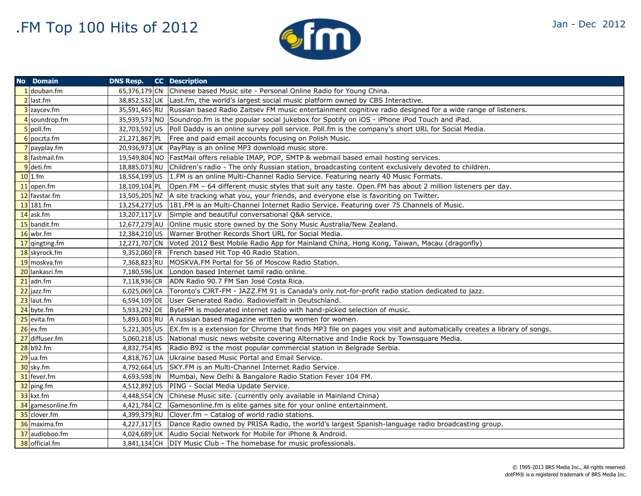

| Jan - Dec 2012 |  |  |  |  |
|----------------|--|--|--|--|
|----------------|--|--|--|--|

| <b>No</b> Domain  | <b>DNS Resp.</b> CC Description |                                                                                                                      |
|-------------------|---------------------------------|----------------------------------------------------------------------------------------------------------------------|
| 1 douban.fm       |                                 | 65,376,179 CN Chinese based Music site - Personal Online Radio for Young China.                                      |
| $2$ last.fm       |                                 | 38,852,532 UK Last.fm, the world's largest social music platform owned by CBS Interactive.                           |
| 3 zaycev.fm       | 35,591,465 RU                   | Russian based Radio Zaitsev FM music entertainment cognitive radio designed for a wide range of listeners.           |
| 4 soundrop.fm     |                                 | 35,939,573 NO Soundrop.fm is the popular social jukebox for Spotify on iOS - iPhone iPod Touch and iPad.             |
| $5$ poll.fm       | 32,703,592 US                   | Poll Daddy is an online survey poll service. Poll fm is the company's short URL for Social Media.                    |
| $6$ poczta.fm     | 21,271,867 PL                   | Free and paid email accounts focusing on Polish Music.                                                               |
| $7$ payplay.fm    |                                 | 20,936,973 UK PayPlay is an online MP3 download music store.                                                         |
| 8 fastmail.fm     |                                 | 19,549,804 NO   FastMail offers reliable IMAP, POP, SMTP & webmail based email hosting services.                     |
| $9$ deti.fm       | 18,885,073 RU                   | Children's radio - The only Russian station, broadcasting content exclusively devoted to children.                   |
| $10$ 1.fm         |                                 | 18,554,199 US 1. FM is an online Multi-Channel Radio Service. Featuring nearly 40 Music Formats.                     |
| $11$ open.fm      | 18,109,104 PL                   | Open.FM - 64 different music styles that suit any taste. Open.FM has about 2 million listeners per day.              |
| 12 favstar.fm     |                                 | 13,505,205 NZ A site tracking what you, your friends, and everyone else is favoriting on Twitter.                    |
| 13 181.fm         |                                 | 13,254,277 US 181.FM is an Multi-Channel Internet Radio Service. Featuring over 75 Channels of Music.                |
| 14 ask.fm         | 13,207,117 LV                   | Simple and beautiful conversational Q&A service.                                                                     |
| 15 bandit.fm      | 12,677,279 AU                   | Online music store owned by the Sony Music Australia/New Zealand.                                                    |
| $16$ wbr.fm       |                                 | 12,384,210 US   Warner Brother Records Short URL for Social Media.                                                   |
| 17 qingting.fm    | 12,271,707 CN                   | Voted 2012 Best Mobile Radio App for Mainland China, Hong Kong, Taiwan, Macau (dragonfly)                            |
| 18 skyrock.fm     | 9,352,060 FR                    | French based Hit Top 40 Radio Station.                                                                               |
| 19 moskva.fm      |                                 | 7,368,823 RU   MOSKVA.FM Portal for 56 of Moscow Radio Station.                                                      |
| 20 lankasri.fm    |                                 | 7,180,596 UK London based Internet tamil radio online.                                                               |
| $21$ adn.fm       |                                 | 7,118,936 CR ADN Radio 90.7 FM San José Costa Rica.                                                                  |
| 22 jazz.fm        |                                 | 6,025,069 CA Toronto's CJRT-FM - JAZZ.FM 91 is Canada's only not-for-profit radio station dedicated to jazz.         |
| 23 laut.fm        |                                 | 6,594,109 DE User Generated Radio. Radiovielfalt in Deutschland.                                                     |
| 24 byte.fm        |                                 | 5,933,292 DE ByteFM is moderated internet radio with hand-picked selection of music.                                 |
| 25 evita.fm       | 5,893,003 RU                    | A russian based magazine written by women for women.                                                                 |
| $26$ ex.fm        | 5,221,305 US                    | EX.fm is a extension for Chrome that finds MP3 file on pages you visit and automatically creates a library of songs. |
| 27 diffuser.fm    | 5,060,218 US                    | National music news website covering Alternative and Indie Rock by Townsquare Media.                                 |
| 28 b92.fm         | 4,832,754 RS                    | Radio B92 is the most popular commercial station in Belgrade Serbia.                                                 |
| $29$ ua.fm        | 4,818,767 UA                    | Ukraine based Music Portal and Email Service.                                                                        |
| 30 sky.fm         | 4,792,664 US                    | ISKY.FM is an Multi-Channel Internet Radio Service.                                                                  |
| 31 fever.fm       | 4,693,598 IN                    | Mumbai, New Delhi & Bangalore Radio Station Fever 104 FM.                                                            |
| 32 ping.fm        | 4,512,892 US                    | PING - Social Media Update Service.                                                                                  |
| 33 kxt.fm         | 4,448,554 CN                    | Chinese Music site. (currently only available in Mainland China)                                                     |
| 34 gamesonline.fm | 4,421,784 CZ                    | Gamesonline.fm is elite games site for your online entertainment.                                                    |
| 35 clover.fm      | 4,399,379 RU                    | Clover.fm - Catalog of world radio stations.                                                                         |
| 36 maxima.fm      | 4,227,317 ES                    | Dance Radio owned by PRISA Radio, the world's largest Spanish-language radio broadcasting group.                     |
| 37 audioboo.fm    |                                 | 4,024,689 UK   Audio Social Network for Mobile for iPhone & Android.                                                 |
| 38 official.fm    |                                 | 3,841,134 CH   DIY Music Club - The homebase for music professionals.                                                |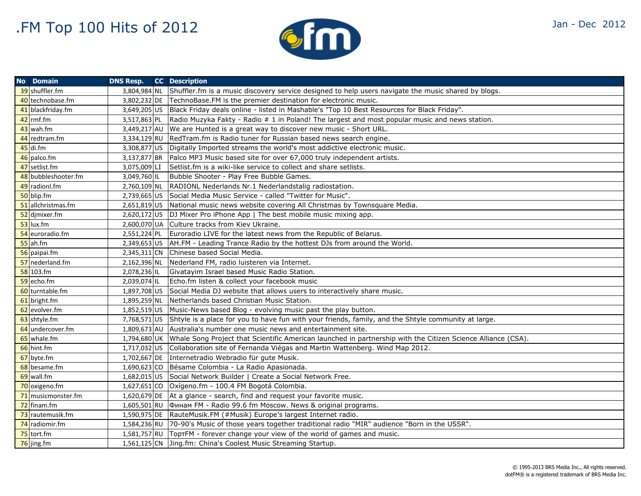

|  | Jan - Dec 2012 |
|--|----------------|
|  |                |

| <b>No Domain</b>    | <b>DNS Resp.</b> | <b>CC</b> Description                                                                                        |
|---------------------|------------------|--------------------------------------------------------------------------------------------------------------|
| 39 shuffler.fm      | 3,804,984 NL     | Shuffler.fm is a music discovery service designed to help users navigate the music shared by blogs.          |
| 40 technobase.fm    |                  | 3,802,232 DE TechnoBase. FM is the premier destination for electronic music.                                 |
| 41 blackfriday.fm   | 3,649,205 US     | Black Friday deals online - listed in Mashable's "Top 10 Best Resources for Black Friday".                   |
| 42 rmf.fm           | 3,517,863 PL     | Radio Muzyka Fakty - Radio # 1 in Poland! The largest and most popular music and news station.               |
| 43 wah.fm           | 3,449,217 AU     | We are Hunted is a great way to discover new music - Short URL.                                              |
| 44 redtram.fm       | 3,334,129 RU     | RedTram.fm is Radio tuner for Russian based news search engine.                                              |
| $45$ di.fm          | 3,308,877 US     | Digitally Imported streams the world's most addictive electronic music.                                      |
| 46 palco.fm         | 3,137,877 BR     | Palco MP3 Music based site for over 67,000 truly independent artists.                                        |
| 47 setlist.fm       | 3,075,009 LI     | Setlist fm is a wiki-like service to collect and share setlists.                                             |
| 48 bubbleshooter.fm | 3,049,760 IL     | Bubble Shooter - Play Free Bubble Games.                                                                     |
| 49 radionl.fm       | 2,760,109 NL     | RADIONL Nederlands Nr.1 Nederlandstalig radiostation.                                                        |
| 50 blip.fm          | 2,739,665 US     | Social Media Music Service - called "Twitter for Music".                                                     |
| 51 allchristmas.fm  | 2,651,819 US     | National music news website covering All Christmas by Townsquare Media.                                      |
| 52 djmixer.fm       | 2,620,172 US     | DJ Mixer Pro iPhone App   The best mobile music mixing app.                                                  |
| $53$ lux.fm         | 2,600,070 UA     | Culture tracks from Kiev Ukraine.                                                                            |
| 54 euroradio.fm     | 2,551,224 PL     | Euroradio LIVE for the latest news from the Republic of Belarus.                                             |
| $55$ ah.fm          | 2,349,653 US     | AH.FM - Leading Trance Radio by the hottest DJs from around the World.                                       |
| 56 paipai.fm        | 2,345,311 CN     | Chinese based Social Media.                                                                                  |
| 57 nederland.fm     | 2,162,396 NL     | Nederland FM, radio luisteren via Internet.                                                                  |
| $58$ 103.fm         | 2,078,236 IL     | Givatayim Israel based Music Radio Station.                                                                  |
| 59 echo.fm          | 2,039,074 IL     | Echo.fm listen & collect your facebook music                                                                 |
| 60 turntable.fm     | 1,897,708 US     | Social Media DJ website that allows users to interactively share music.                                      |
| 61 bright.fm        | 1,895,259 NL     | Netherlands based Christian Music Station.                                                                   |
| 62 evolver.fm       | 1,852,519 US     | Music-News based Blog - evolving music past the play button.                                                 |
| 63 shtyle.fm        | 7,768,571 US     | Shtyle is a place for you to have fun with your friends, family, and the Shtyle community at large.          |
| 64 undercover.fm    | 1,809,673 AU     | Australia's number one music news and entertainment site.                                                    |
| 65 whale.fm         | 1,794,680 UK     | Whale Song Project that Scientific American launched in partnership with the Citizen Science Alliance (CSA). |
| 66 hint.fm          | 1,717,032 US     | Collaboration site of Fernanda Viégas and Martin Wattenberg. Wind Map 2012.                                  |
| 67 byte.fm          | 1,702,667 DE     | Internetradio Webradio für gute Musik.                                                                       |
| 68 besame.fm        | 1,690,623 CO     | Bésame Colombia - La Radio Apasionada.                                                                       |
| $69$ wall.fm        | 1,682,015 US     | Social Network Builder   Create a Social Network Free.                                                       |
| 70 oxigeno.fm       | 1,627,651 CO     | Oxígeno.fm - 100.4 FM Bogotá Colombia.                                                                       |
| 71 musicmonster.fm  | 1,620,679 DE     | At a glance - search, find and request your favorite music.                                                  |
| 72 finam.fm         | 1,605,501 RU     | Финам FM - Radio 99.6 fm Moscow. News & original programs.                                                   |
| 73 rautemusik.fm    |                  | 1,590,975 DE RauteMusik.FM (#Musik) Europe's largest Internet radio.                                         |
| 74 radiomir.fm      |                  | 1,584,236 RU 70-90's Music of those years together traditional radio "MIR" audience "Born in the USSR".      |
| $75$ tort.fm        |                  | 1,581,757 RU TopTFM - forever change your view of the world of games and music.                              |
| 76 jing.fm          |                  | 1,561,125 CN Jing.fm: China's Coolest Music Streaming Startup.                                               |